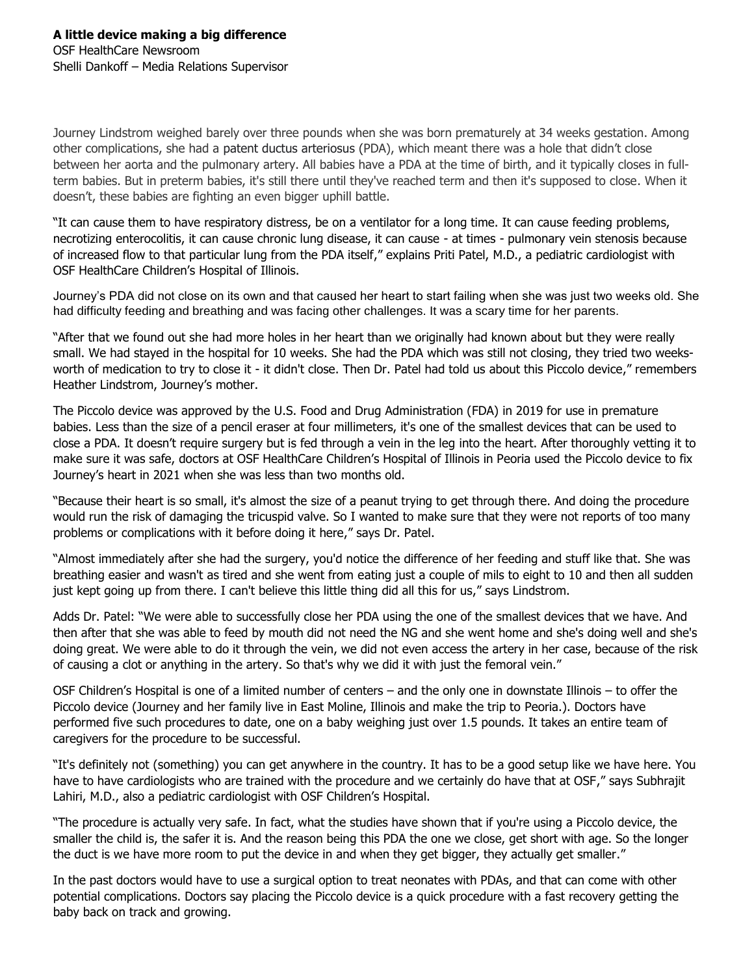Journey Lindstrom weighed barely over three pounds when she was born prematurely at 34 weeks gestation. Among other complications, she had a patent ductus arteriosus (PDA), which meant there was a hole that didn't close between her aorta and the pulmonary artery. All babies have a PDA at the time of birth, and it typically closes in fullterm babies. But in preterm babies, it's still there until they've reached term and then it's supposed to close. When it doesn't, these babies are fighting an even bigger uphill battle.

"It can cause them to have respiratory distress, be on a ventilator for a long time. It can cause feeding problems, necrotizing enterocolitis, it can cause chronic lung disease, it can cause - at times - pulmonary vein stenosis because of increased flow to that particular lung from the PDA itself," explains Priti Patel, M.D., a pediatric cardiologist with OSF HealthCare Children's Hospital of Illinois.

Journey's PDA did not close on its own and that caused her heart to start failing when she was just two weeks old. She had difficulty feeding and breathing and was facing other challenges. It was a scary time for her parents.

"After that we found out she had more holes in her heart than we originally had known about but they were really small. We had stayed in the hospital for 10 weeks. She had the PDA which was still not closing, they tried two weeksworth of medication to try to close it - it didn't close. Then Dr. Patel had told us about this Piccolo device," remembers Heather Lindstrom, Journey's mother.

The Piccolo device was approved by the U.S. Food and Drug Administration (FDA) in 2019 for use in premature babies. Less than the size of a pencil eraser at four millimeters, it's one of the smallest devices that can be used to close a PDA. It doesn't require surgery but is fed through a vein in the leg into the heart. After thoroughly vetting it to make sure it was safe, doctors at OSF HealthCare Children's Hospital of Illinois in Peoria used the Piccolo device to fix Journey's heart in 2021 when she was less than two months old.

"Because their heart is so small, it's almost the size of a peanut trying to get through there. And doing the procedure would run the risk of damaging the tricuspid valve. So I wanted to make sure that they were not reports of too many problems or complications with it before doing it here," says Dr. Patel.

"Almost immediately after she had the surgery, you'd notice the difference of her feeding and stuff like that. She was breathing easier and wasn't as tired and she went from eating just a couple of mils to eight to 10 and then all sudden just kept going up from there. I can't believe this little thing did all this for us," says Lindstrom.

Adds Dr. Patel: "We were able to successfully close her PDA using the one of the smallest devices that we have. And then after that she was able to feed by mouth did not need the NG and she went home and she's doing well and she's doing great. We were able to do it through the vein, we did not even access the artery in her case, because of the risk of causing a clot or anything in the artery. So that's why we did it with just the femoral vein."

OSF Children's Hospital is one of a limited number of centers – and the only one in downstate Illinois – to offer the Piccolo device (Journey and her family live in East Moline, Illinois and make the trip to Peoria.). Doctors have performed five such procedures to date, one on a baby weighing just over 1.5 pounds. It takes an entire team of caregivers for the procedure to be successful.

"It's definitely not (something) you can get anywhere in the country. It has to be a good setup like we have here. You have to have cardiologists who are trained with the procedure and we certainly do have that at OSF," says Subhrajit Lahiri, M.D., also a pediatric cardiologist with OSF Children's Hospital.

"The procedure is actually very safe. In fact, what the studies have shown that if you're using a Piccolo device, the smaller the child is, the safer it is. And the reason being this PDA the one we close, get short with age. So the longer the duct is we have more room to put the device in and when they get bigger, they actually get smaller."

In the past doctors would have to use a surgical option to treat neonates with PDAs, and that can come with other potential complications. Doctors say placing the Piccolo device is a quick procedure with a fast recovery getting the baby back on track and growing.